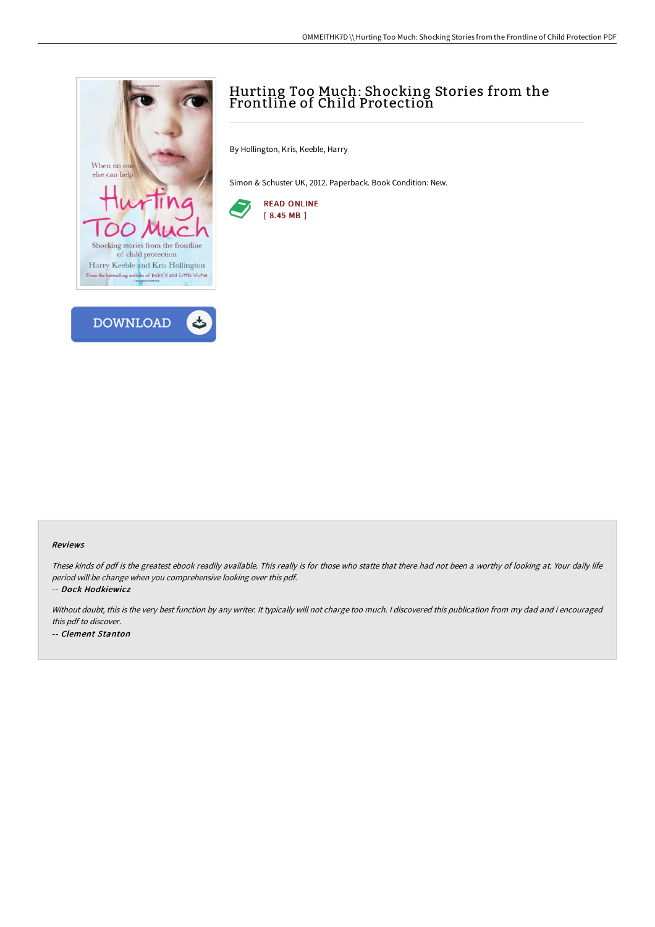



# Hurting Too Much: Shocking Stories from the Frontline of Child Protection

By Hollington, Kris, Keeble, Harry

Simon & Schuster UK, 2012. Paperback. Book Condition: New.



#### Reviews

These kinds of pdf is the greatest ebook readily available. This really is for those who statte that there had not been <sup>a</sup> worthy of looking at. Your daily life period will be change when you comprehensive looking over this pdf.

-- Dock Hodkiewicz

Without doubt, this is the very best function by any writer. It typically will not charge too much. <sup>I</sup> discovered this publication from my dad and i encouraged this pdf to discover. -- Clement Stanton